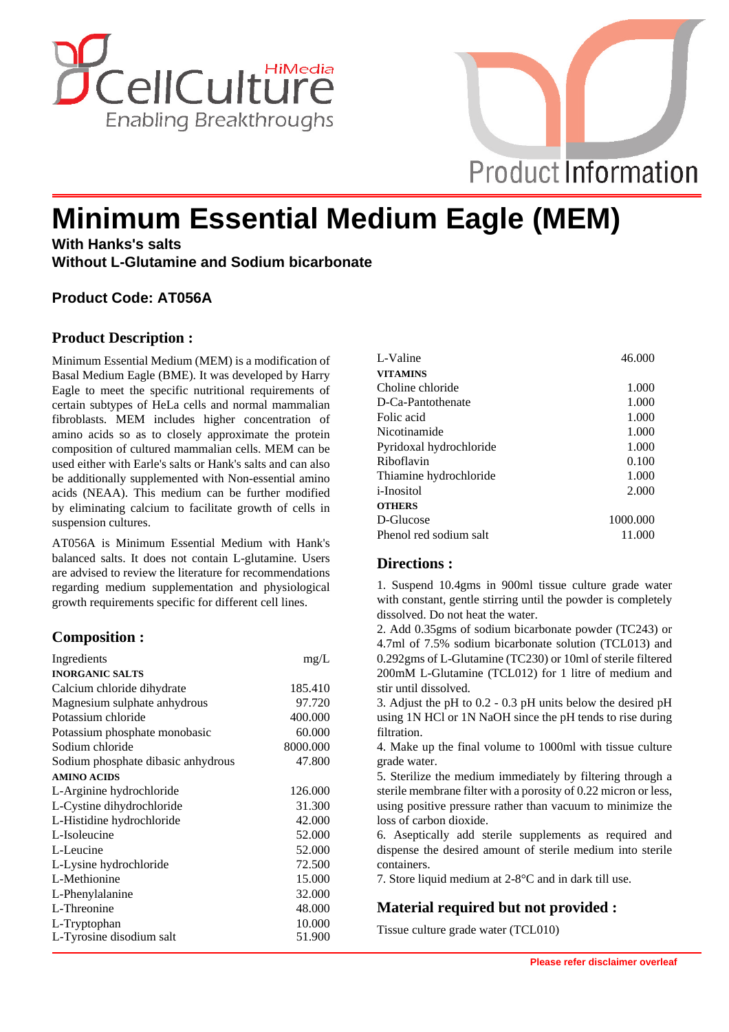



# **Minimum Essential Medium Eagle (MEM)**

**With Hanks's salts Without L-Glutamine and Sodium bicarbonate**

# **Product Code: AT056A**

#### **Product Description :**

Minimum Essential Medium (MEM) is a modification of Basal Medium Eagle (BME). It was developed by Harry Eagle to meet the specific nutritional requirements of certain subtypes of HeLa cells and normal mammalian fibroblasts. MEM includes higher concentration of amino acids so as to closely approximate the protein composition of cultured mammalian cells. MEM can be used either with Earle's salts or Hank's salts and can also be additionally supplemented with Non-essential amino acids (NEAA). This medium can be further modified by eliminating calcium to facilitate growth of cells in suspension cultures.

AT056A is Minimum Essential Medium with Hank's balanced salts. It does not contain L-glutamine. Users are advised to review the literature for recommendations regarding medium supplementation and physiological growth requirements specific for different cell lines.

# **Composition :**

| Ingredients                        | mg/L     |
|------------------------------------|----------|
| <b>INORGANIC SALTS</b>             |          |
| Calcium chloride dihydrate         | 185.410  |
| Magnesium sulphate anhydrous       | 97.720   |
| Potassium chloride                 | 400.000  |
| Potassium phosphate monobasic      | 60.000   |
| Sodium chloride                    | 8000.000 |
| Sodium phosphate dibasic anhydrous | 47.800   |
| <b>AMINO ACIDS</b>                 |          |
| L-Arginine hydrochloride           | 126.000  |
| L-Cystine dihydrochloride          | 31.300   |
| L-Histidine hydrochloride          | 42.000   |
| L-Isoleucine                       | 52.000   |
| L-Leucine                          | 52.000   |
| L-Lysine hydrochloride             | 72.500   |
| L-Methionine                       | 15.000   |
| L-Phenylalanine                    | 32.000   |
| L-Threonine                        | 48.000   |
| L-Tryptophan                       | 10.000   |
| L-Tyrosine disodium salt           | 51.900   |

| L-Valine                | 46.000   |
|-------------------------|----------|
| <b>VITAMINS</b>         |          |
| Choline chloride        | 1.000    |
| D-Ca-Pantothenate       | 1.000    |
| Folic acid              | 1.000    |
| Nicotinamide            | 1.000    |
| Pyridoxal hydrochloride | 1.000    |
| Riboflavin              | 0.100    |
| Thiamine hydrochloride  | 1.000    |
| <i>i</i> -Inositol      | 2.000    |
| <b>OTHERS</b>           |          |
| D-Glucose               | 1000.000 |
| Phenol red sodium salt  | 11.000   |

#### **Directions :**

1. Suspend 10.4gms in 900ml tissue culture grade water with constant, gentle stirring until the powder is completely dissolved. Do not heat the water.

2. Add 0.35gms of sodium bicarbonate powder (TC243) or 4.7ml of 7.5% sodium bicarbonate solution (TCL013) and 0.292gms of L-Glutamine (TC230) or 10ml of sterile filtered 200mM L-Glutamine (TCL012) for 1 litre of medium and stir until dissolved.

3. Adjust the pH to 0.2 - 0.3 pH units below the desired pH using 1N HCl or 1N NaOH since the pH tends to rise during filtration.

4. Make up the final volume to 1000ml with tissue culture grade water.

5. Sterilize the medium immediately by filtering through a sterile membrane filter with a porosity of 0.22 micron or less, using positive pressure rather than vacuum to minimize the loss of carbon dioxide.

6. Aseptically add sterile supplements as required and dispense the desired amount of sterile medium into sterile containers.

7. Store liquid medium at 2-8°C and in dark till use.

#### **Material required but not provided :**

Tissue culture grade water (TCL010)